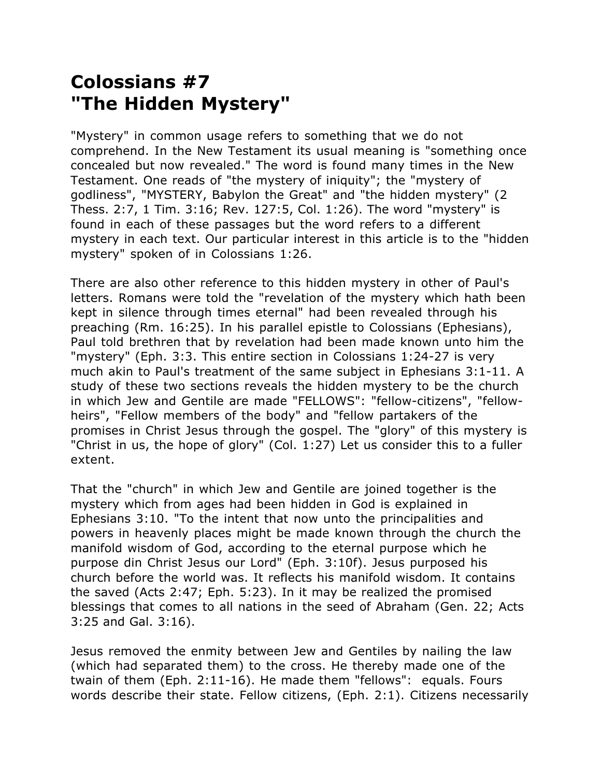## **Colossians #7 "The Hidden Mystery"**

"Mystery" in common usage refers to something that we do not comprehend. In the New Testament its usual meaning is "something once concealed but now revealed." The word is found many times in the New Testament. One reads of "the mystery of iniquity"; the "mystery of godliness", "MYSTERY, Babylon the Great" and "the hidden mystery" (2 Thess. 2:7, 1 Tim. 3:16; Rev. 127:5, Col. 1:26). The word "mystery" is found in each of these passages but the word refers to a different mystery in each text. Our particular interest in this article is to the "hidden mystery" spoken of in Colossians 1:26.

There are also other reference to this hidden mystery in other of Paul's letters. Romans were told the "revelation of the mystery which hath been kept in silence through times eternal" had been revealed through his preaching (Rm. 16:25). In his parallel epistle to Colossians (Ephesians), Paul told brethren that by revelation had been made known unto him the "mystery" (Eph. 3:3. This entire section in Colossians 1:24-27 is very much akin to Paul's treatment of the same subject in Ephesians 3:1-11. A study of these two sections reveals the hidden mystery to be the church in which Jew and Gentile are made "FELLOWS": "fellow-citizens", "fellowheirs", "Fellow members of the body" and "fellow partakers of the promises in Christ Jesus through the gospel. The "glory" of this mystery is "Christ in us, the hope of glory" (Col. 1:27) Let us consider this to a fuller extent.

That the "church" in which Jew and Gentile are joined together is the mystery which from ages had been hidden in God is explained in Ephesians 3:10. "To the intent that now unto the principalities and powers in heavenly places might be made known through the church the manifold wisdom of God, according to the eternal purpose which he purpose din Christ Jesus our Lord" (Eph. 3:10f). Jesus purposed his church before the world was. It reflects his manifold wisdom. It contains the saved (Acts 2:47; Eph. 5:23). In it may be realized the promised blessings that comes to all nations in the seed of Abraham (Gen. 22; Acts 3:25 and Gal. 3:16).

Jesus removed the enmity between Jew and Gentiles by nailing the law (which had separated them) to the cross. He thereby made one of the twain of them (Eph. 2:11-16). He made them "fellows": equals. Fours words describe their state. Fellow citizens, (Eph. 2:1). Citizens necessarily